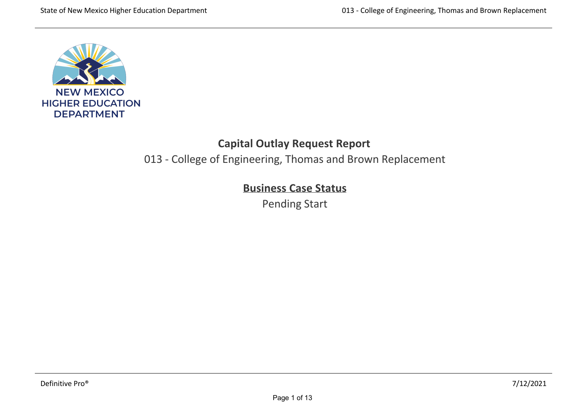

# **Capital Outlay Request Report**

013 ‐ College of Engineering, Thomas and Brown Replacement

# **Business Case Status**

Pending Start

,一个人都是一个人的人,一个人都是一个人的人,一个人都是一个人的人,一个人都是一个人的人,一个人都是一个人的人,一个人都是一个人的人,一个人都是一个人的人,一个人<br>第二十一章 一个人的人,一个人都是一个人的人,一个人都是一个人的人,一个人都是一个人的人,一个人都是一个人的人,一个人都是一个人的人,一个人都是一个人的人,一个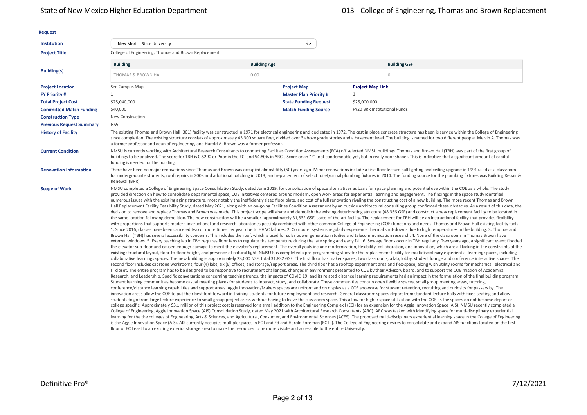| <b>Request</b>                  |                                                                                         |                                                                                                                                           |                                                                                                                                                                                                                                                                                                                                                                                                                                                                                                                                                                                                                                                                                                                                                                                                                                                                                                                                                                                                                                                                                                                                                                                                                                                                                                                                                                                                                                                                                                                                                                                                                                                                                                                                                                                                                                                                                                                                                                                                                                                                                                                                                                                                                                                                                                                                                                                                                                                                                                                                                                                                                                                                                                                                                                                                                                                                                                                                                                                                                                                                                                                                                                                                                                                                                                                                                                                                                                                                                                                                                                                                                                                                                                                                                                                                                                                                                                                                                                                                                                                                                                                                                                                                                                                                                                                                                                                                                                                                                                                                                                                                                                                                                                                                                                                                                                                                                                                                                                                                                                                                                                                                                                                                                                                                                                                                               |  |
|---------------------------------|-----------------------------------------------------------------------------------------|-------------------------------------------------------------------------------------------------------------------------------------------|-----------------------------------------------------------------------------------------------------------------------------------------------------------------------------------------------------------------------------------------------------------------------------------------------------------------------------------------------------------------------------------------------------------------------------------------------------------------------------------------------------------------------------------------------------------------------------------------------------------------------------------------------------------------------------------------------------------------------------------------------------------------------------------------------------------------------------------------------------------------------------------------------------------------------------------------------------------------------------------------------------------------------------------------------------------------------------------------------------------------------------------------------------------------------------------------------------------------------------------------------------------------------------------------------------------------------------------------------------------------------------------------------------------------------------------------------------------------------------------------------------------------------------------------------------------------------------------------------------------------------------------------------------------------------------------------------------------------------------------------------------------------------------------------------------------------------------------------------------------------------------------------------------------------------------------------------------------------------------------------------------------------------------------------------------------------------------------------------------------------------------------------------------------------------------------------------------------------------------------------------------------------------------------------------------------------------------------------------------------------------------------------------------------------------------------------------------------------------------------------------------------------------------------------------------------------------------------------------------------------------------------------------------------------------------------------------------------------------------------------------------------------------------------------------------------------------------------------------------------------------------------------------------------------------------------------------------------------------------------------------------------------------------------------------------------------------------------------------------------------------------------------------------------------------------------------------------------------------------------------------------------------------------------------------------------------------------------------------------------------------------------------------------------------------------------------------------------------------------------------------------------------------------------------------------------------------------------------------------------------------------------------------------------------------------------------------------------------------------------------------------------------------------------------------------------------------------------------------------------------------------------------------------------------------------------------------------------------------------------------------------------------------------------------------------------------------------------------------------------------------------------------------------------------------------------------------------------------------------------------------------------------------------------------------------------------------------------------------------------------------------------------------------------------------------------------------------------------------------------------------------------------------------------------------------------------------------------------------------------------------------------------------------------------------------------------------------------------------------------------------------------------------------------------------------------------------------------------------------------------------------------------------------------------------------------------------------------------------------------------------------------------------------------------------------------------------------------------------------------------------------------------------------------------------------------------------------------------------------------------------------------------------------------------------------------------------------------------------|--|
| <b>Institution</b>              | New Mexico State University                                                             | $\checkmark$                                                                                                                              |                                                                                                                                                                                                                                                                                                                                                                                                                                                                                                                                                                                                                                                                                                                                                                                                                                                                                                                                                                                                                                                                                                                                                                                                                                                                                                                                                                                                                                                                                                                                                                                                                                                                                                                                                                                                                                                                                                                                                                                                                                                                                                                                                                                                                                                                                                                                                                                                                                                                                                                                                                                                                                                                                                                                                                                                                                                                                                                                                                                                                                                                                                                                                                                                                                                                                                                                                                                                                                                                                                                                                                                                                                                                                                                                                                                                                                                                                                                                                                                                                                                                                                                                                                                                                                                                                                                                                                                                                                                                                                                                                                                                                                                                                                                                                                                                                                                                                                                                                                                                                                                                                                                                                                                                                                                                                                                                               |  |
| <b>Project Title</b>            | College of Engineering, Thomas and Brown Replacement                                    |                                                                                                                                           |                                                                                                                                                                                                                                                                                                                                                                                                                                                                                                                                                                                                                                                                                                                                                                                                                                                                                                                                                                                                                                                                                                                                                                                                                                                                                                                                                                                                                                                                                                                                                                                                                                                                                                                                                                                                                                                                                                                                                                                                                                                                                                                                                                                                                                                                                                                                                                                                                                                                                                                                                                                                                                                                                                                                                                                                                                                                                                                                                                                                                                                                                                                                                                                                                                                                                                                                                                                                                                                                                                                                                                                                                                                                                                                                                                                                                                                                                                                                                                                                                                                                                                                                                                                                                                                                                                                                                                                                                                                                                                                                                                                                                                                                                                                                                                                                                                                                                                                                                                                                                                                                                                                                                                                                                                                                                                                                               |  |
|                                 | <b>Building</b>                                                                         | <b>Building Age</b>                                                                                                                       | <b>Building GSF</b>                                                                                                                                                                                                                                                                                                                                                                                                                                                                                                                                                                                                                                                                                                                                                                                                                                                                                                                                                                                                                                                                                                                                                                                                                                                                                                                                                                                                                                                                                                                                                                                                                                                                                                                                                                                                                                                                                                                                                                                                                                                                                                                                                                                                                                                                                                                                                                                                                                                                                                                                                                                                                                                                                                                                                                                                                                                                                                                                                                                                                                                                                                                                                                                                                                                                                                                                                                                                                                                                                                                                                                                                                                                                                                                                                                                                                                                                                                                                                                                                                                                                                                                                                                                                                                                                                                                                                                                                                                                                                                                                                                                                                                                                                                                                                                                                                                                                                                                                                                                                                                                                                                                                                                                                                                                                                                                           |  |
| <b>Building(s)</b>              | <b>THOMAS &amp; BROWN HALL</b>                                                          | 0.00                                                                                                                                      | $\circ$                                                                                                                                                                                                                                                                                                                                                                                                                                                                                                                                                                                                                                                                                                                                                                                                                                                                                                                                                                                                                                                                                                                                                                                                                                                                                                                                                                                                                                                                                                                                                                                                                                                                                                                                                                                                                                                                                                                                                                                                                                                                                                                                                                                                                                                                                                                                                                                                                                                                                                                                                                                                                                                                                                                                                                                                                                                                                                                                                                                                                                                                                                                                                                                                                                                                                                                                                                                                                                                                                                                                                                                                                                                                                                                                                                                                                                                                                                                                                                                                                                                                                                                                                                                                                                                                                                                                                                                                                                                                                                                                                                                                                                                                                                                                                                                                                                                                                                                                                                                                                                                                                                                                                                                                                                                                                                                                       |  |
| <b>Project Location</b>         | See Campus Map                                                                          | <b>Project Map</b>                                                                                                                        | <b>Project Map Link</b>                                                                                                                                                                                                                                                                                                                                                                                                                                                                                                                                                                                                                                                                                                                                                                                                                                                                                                                                                                                                                                                                                                                                                                                                                                                                                                                                                                                                                                                                                                                                                                                                                                                                                                                                                                                                                                                                                                                                                                                                                                                                                                                                                                                                                                                                                                                                                                                                                                                                                                                                                                                                                                                                                                                                                                                                                                                                                                                                                                                                                                                                                                                                                                                                                                                                                                                                                                                                                                                                                                                                                                                                                                                                                                                                                                                                                                                                                                                                                                                                                                                                                                                                                                                                                                                                                                                                                                                                                                                                                                                                                                                                                                                                                                                                                                                                                                                                                                                                                                                                                                                                                                                                                                                                                                                                                                                       |  |
| <b>FY Priority #</b>            | $\mathbf{1}$                                                                            | <b>Master Plan Priority#</b>                                                                                                              | $\mathbf{1}$                                                                                                                                                                                                                                                                                                                                                                                                                                                                                                                                                                                                                                                                                                                                                                                                                                                                                                                                                                                                                                                                                                                                                                                                                                                                                                                                                                                                                                                                                                                                                                                                                                                                                                                                                                                                                                                                                                                                                                                                                                                                                                                                                                                                                                                                                                                                                                                                                                                                                                                                                                                                                                                                                                                                                                                                                                                                                                                                                                                                                                                                                                                                                                                                                                                                                                                                                                                                                                                                                                                                                                                                                                                                                                                                                                                                                                                                                                                                                                                                                                                                                                                                                                                                                                                                                                                                                                                                                                                                                                                                                                                                                                                                                                                                                                                                                                                                                                                                                                                                                                                                                                                                                                                                                                                                                                                                  |  |
| <b>Total Project Cost</b>       | \$25,040,000                                                                            | <b>State Funding Request</b>                                                                                                              | \$25,000,000                                                                                                                                                                                                                                                                                                                                                                                                                                                                                                                                                                                                                                                                                                                                                                                                                                                                                                                                                                                                                                                                                                                                                                                                                                                                                                                                                                                                                                                                                                                                                                                                                                                                                                                                                                                                                                                                                                                                                                                                                                                                                                                                                                                                                                                                                                                                                                                                                                                                                                                                                                                                                                                                                                                                                                                                                                                                                                                                                                                                                                                                                                                                                                                                                                                                                                                                                                                                                                                                                                                                                                                                                                                                                                                                                                                                                                                                                                                                                                                                                                                                                                                                                                                                                                                                                                                                                                                                                                                                                                                                                                                                                                                                                                                                                                                                                                                                                                                                                                                                                                                                                                                                                                                                                                                                                                                                  |  |
| <b>Committed Match Funding</b>  | \$40,000                                                                                | <b>Match Funding Source</b>                                                                                                               | <b>FY20 BRR Institutional Funds</b>                                                                                                                                                                                                                                                                                                                                                                                                                                                                                                                                                                                                                                                                                                                                                                                                                                                                                                                                                                                                                                                                                                                                                                                                                                                                                                                                                                                                                                                                                                                                                                                                                                                                                                                                                                                                                                                                                                                                                                                                                                                                                                                                                                                                                                                                                                                                                                                                                                                                                                                                                                                                                                                                                                                                                                                                                                                                                                                                                                                                                                                                                                                                                                                                                                                                                                                                                                                                                                                                                                                                                                                                                                                                                                                                                                                                                                                                                                                                                                                                                                                                                                                                                                                                                                                                                                                                                                                                                                                                                                                                                                                                                                                                                                                                                                                                                                                                                                                                                                                                                                                                                                                                                                                                                                                                                                           |  |
| <b>Construction Type</b>        | New Construction                                                                        |                                                                                                                                           |                                                                                                                                                                                                                                                                                                                                                                                                                                                                                                                                                                                                                                                                                                                                                                                                                                                                                                                                                                                                                                                                                                                                                                                                                                                                                                                                                                                                                                                                                                                                                                                                                                                                                                                                                                                                                                                                                                                                                                                                                                                                                                                                                                                                                                                                                                                                                                                                                                                                                                                                                                                                                                                                                                                                                                                                                                                                                                                                                                                                                                                                                                                                                                                                                                                                                                                                                                                                                                                                                                                                                                                                                                                                                                                                                                                                                                                                                                                                                                                                                                                                                                                                                                                                                                                                                                                                                                                                                                                                                                                                                                                                                                                                                                                                                                                                                                                                                                                                                                                                                                                                                                                                                                                                                                                                                                                                               |  |
| <b>Previous Request Summary</b> | N/A                                                                                     |                                                                                                                                           |                                                                                                                                                                                                                                                                                                                                                                                                                                                                                                                                                                                                                                                                                                                                                                                                                                                                                                                                                                                                                                                                                                                                                                                                                                                                                                                                                                                                                                                                                                                                                                                                                                                                                                                                                                                                                                                                                                                                                                                                                                                                                                                                                                                                                                                                                                                                                                                                                                                                                                                                                                                                                                                                                                                                                                                                                                                                                                                                                                                                                                                                                                                                                                                                                                                                                                                                                                                                                                                                                                                                                                                                                                                                                                                                                                                                                                                                                                                                                                                                                                                                                                                                                                                                                                                                                                                                                                                                                                                                                                                                                                                                                                                                                                                                                                                                                                                                                                                                                                                                                                                                                                                                                                                                                                                                                                                                               |  |
| <b>History of Facility</b>      | a former professor and dean of engineering, and Harold A. Brown was a former professor. |                                                                                                                                           | The existing Thomas and Brown Hall (301) facility was constructed in 1971 for electrical engineering and dedicated in 1972. The cast in place concrete structure has been is service within the College of Engineering<br>since completion. The existing structure consists of approximately 43,300 square feet, divided over 3 above grade stories and a basement level. The building is named for two different people. Melvin A. Thomas was                                                                                                                                                                                                                                                                                                                                                                                                                                                                                                                                                                                                                                                                                                                                                                                                                                                                                                                                                                                                                                                                                                                                                                                                                                                                                                                                                                                                                                                                                                                                                                                                                                                                                                                                                                                                                                                                                                                                                                                                                                                                                                                                                                                                                                                                                                                                                                                                                                                                                                                                                                                                                                                                                                                                                                                                                                                                                                                                                                                                                                                                                                                                                                                                                                                                                                                                                                                                                                                                                                                                                                                                                                                                                                                                                                                                                                                                                                                                                                                                                                                                                                                                                                                                                                                                                                                                                                                                                                                                                                                                                                                                                                                                                                                                                                                                                                                                                                |  |
| <b>Current Condition</b>        | funding is needed for the building.                                                     |                                                                                                                                           | NMSU is currently working with Architectural Research Consultants to conducting Facilities Condition Assessments (FCA) off selected NMSU buildings. Thomas and Brown Hall (TBH) was part of the first group of<br>buildings to be analyzed. The score for TBH is 0.5290 or Poor in the FCI and 54.80% in ARC's Score or an "F" (not condemnable yet, but in really poor shape). This is indicative that a significant amount of capital                                                                                                                                                                                                                                                                                                                                                                                                                                                                                                                                                                                                                                                                                                                                                                                                                                                                                                                                                                                                                                                                                                                                                                                                                                                                                                                                                                                                                                                                                                                                                                                                                                                                                                                                                                                                                                                                                                                                                                                                                                                                                                                                                                                                                                                                                                                                                                                                                                                                                                                                                                                                                                                                                                                                                                                                                                                                                                                                                                                                                                                                                                                                                                                                                                                                                                                                                                                                                                                                                                                                                                                                                                                                                                                                                                                                                                                                                                                                                                                                                                                                                                                                                                                                                                                                                                                                                                                                                                                                                                                                                                                                                                                                                                                                                                                                                                                                                                       |  |
| <b>Renovation Information</b>   | Renewal (BRR).                                                                          |                                                                                                                                           | There have been no major renovations since Thomas and Brown was occupied almost fifty (50) years ago. Minor renovations include a first floor lecture hall lighting and ceiling upgrade in 1991 used as a classroom<br>for undergraduate students; roof repairs in 2008 and additional patching in 2013; and replacement of select toilet/urinal plumbing fixtures in 2014. The funding source for the plumbing fixtures was Building Repair &                                                                                                                                                                                                                                                                                                                                                                                                                                                                                                                                                                                                                                                                                                                                                                                                                                                                                                                                                                                                                                                                                                                                                                                                                                                                                                                                                                                                                                                                                                                                                                                                                                                                                                                                                                                                                                                                                                                                                                                                                                                                                                                                                                                                                                                                                                                                                                                                                                                                                                                                                                                                                                                                                                                                                                                                                                                                                                                                                                                                                                                                                                                                                                                                                                                                                                                                                                                                                                                                                                                                                                                                                                                                                                                                                                                                                                                                                                                                                                                                                                                                                                                                                                                                                                                                                                                                                                                                                                                                                                                                                                                                                                                                                                                                                                                                                                                                                                |  |
| <b>Scope of Work</b>            |                                                                                         | floor of EC I east to an existing exterior storage area to make the resources to be more visible and accessible to the entire University. | NMSU completed a College of Engineering Space Consolidation Study, dated June 2019, for consolidation of space alternatives as basis for space planning and potential use within the COE as a whole. The study<br>provided direction on how to consolidate departmental space, COE initiatives centered around modern, open work areas for experiential learning and engagement. The findings in the space study identified<br>numerous issues with the existing aging structure, most notably the inefficiently sized floor plate, and cost of a full renovation rivaling the constructing cost of a new building. The more recent Thomas and Brown<br>Hall Replacement Facility Feasibility Study, dated May 2021, along with an on-going Facilities Condition Assessment by an outside architectural consulting group confirmed these obstacles. As a result of this data, the<br>decision to remove and replace Thomas and Brown was made. This project scope will abate and demolish the existing deteriorating structure (48,366 GSF) and construct a new replacement facility to be located in<br>the same location following demolition. The new construction will be a smaller (approximately 31,832 GSF) state-of-the-art facility. The replacement for TBH will be an instructional facility that provides flexibility<br>with proportions that supports modern instructional and research laboratories possibly combined with other common College of Engineering (COE) functions and needs. Thomas and Brown Hall existing facility facts:<br>1. Since 2016, classes have been canceled two or more times per year due to HVAC failures. 2. Computer systems regularly experience thermal shut-downs due to high temperatures in the building. 3. Thomas and<br>Brown Hall (TBH) has several accessibility concerns. This includes the roof, which is used for solar power generation studies and telecommunication research. 4. None of the classrooms in Thomas Brown have<br>external windows. 5. Every teaching lab in TBH requires floor fans to regulate the temperature during the late spring and early fall. 6. Sewage floods occur in TBH regularly. Two years ago, a significant event flooded<br>the elevator sub-floor and caused enough damage to merit the elevator's replacement. The overall goals include modernization, flexibility, collaboration, and innovation, which are all lacking in the constraints of the<br>existing structural layout, floor-to-floor height, and presence of natural light. NMSU has completed a pre-programming study for the replacement facility for multidisciplinary experiential learning spaces, including<br>collaborative learnings spaces. The new building is approximately 23,000 NSF, total 31,832 GSF. The first floor has maker spaces, two classrooms, a lab, lobby, student lounge and conference interactive spaces. The<br>second floor includes capstone workrooms, four (4) labs, six (6) offices, and storage/support areas. The third floor has a rooftop experiment area and flex-space, along with utility rooms for mechanical, electrical and<br>IT closet. The entire program has to be designed to be responsive to recruitment challenges, changes in environment presented to COE by their Advisory board, and to support the COE mission of Academics,<br>Research, and Leadership. Specific conversations concerning teaching trends, the impacts of COVID 19, and its related distance learning requirements had an impact in the formulation of the final building program.<br>Student learning communities become casual meeting places for students to interact, study, and collaborate. These communities contain open flexible spaces, small group meeting areas, tutoring,<br>conference/distance learning capabilities and support areas. Aggie Innovation/Makers spaces are upfront and on display as a COE showcase for student retention, recruiting and curiosity for passers by. The<br>innovation areas allow the COE to put their best foot forward in training students for future employment and research. General classroom spaces depart from standard lecture halls with fixed seating and allow<br>students to go from large lecture experience to small group project areas without having to leave the classroom space. This allow for higher space utilization with the COE as the spaces do not become depart or<br>college specific. Approximately \$3.1 million of this project cost is reserved for a small addition to the Engineering Complex I (ECI) for an expansion for the Aggie Innovation Space (AIS). NMSU recently completed a<br>College of Engineering, Aggie Innovation Space (AIS) Consolidation Study, dated May 2021 with Architectural Research Consultants (ARC). ARC was tasked with identifying space for multi-disciplinary experiential<br>learning for the the colleges of Engineering, Arts & Sciences, and Agricultural, Consumer, and Environmental Sciences (ACES). The proposed multi-disciplinary experiential learning space in the College of Engineering<br>is the Aggie Innovation Space (AIS). AIS currently occupies multiple spaces in EC I and Ed and Harold Foreman (EC III). The College of Engineering desires to consolidate and expand AIS functions located on the first |  |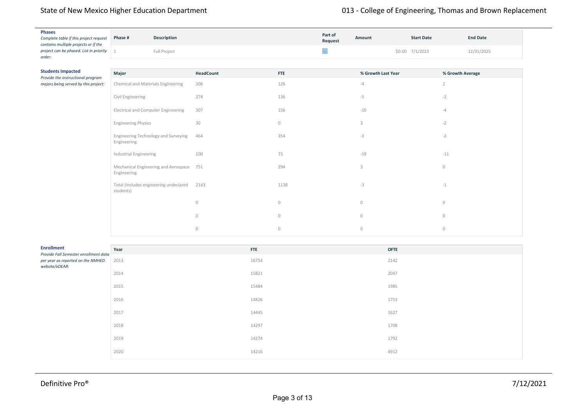| <b>Phases</b><br>Complete table if this project request<br>contains multiple projects or if the | Phase # | <b>Description</b> | Part of<br>Request | <b>Amount</b> | <b>Start Date</b>  | <b>End Date</b> |  |
|-------------------------------------------------------------------------------------------------|---------|--------------------|--------------------|---------------|--------------------|-----------------|--|
| project can be phased. List in priority<br>order:                                               |         | Full Project       |                    |               | $$0.00$ $7/1/2023$ | 2/31/2025       |  |

| <b>Students Impacted</b><br>Provide the instructional program | Major                                                   | HeadCount      | <b>FTE</b>     | % Growth Last Year | % Growth Average |
|---------------------------------------------------------------|---------------------------------------------------------|----------------|----------------|--------------------|------------------|
| majors being served by this project:                          | Chemical and Materials Engineering                      | 206            | 126            | $-4$               | $\overline{2}$   |
|                                                               | Civil Engineering                                       | 274            | 136            | $-5$               | $-2$             |
|                                                               | <b>Electrical and Computer Engineering</b>              | 307            | 156            | $-10$              | $-4$             |
|                                                               | <b>Engineering Physics</b>                              | 30             | $\circledcirc$ | 3                  | $-2$             |
|                                                               | Engineering Technology and Surveying<br>Engineering     | 464            | 354            | $-3$               | $-2$             |
|                                                               | Industrial Engineering                                  | 100            | 73             | $-19$              | $-11$            |
|                                                               | Mechanical Engineering and Aerospace 751<br>Engineering |                | 294            | 3                  | $\circ$          |
|                                                               | Total (includes engineering undeclared<br>students)     | 2143           | 1138           | $-3$               | $-1$             |
|                                                               |                                                         | $\circ$        | $\circ$        | $\circledcirc$     | $\circ$          |
|                                                               |                                                         | $\circledcirc$ | $\circ$        | $\circ$            | $\circ$          |
|                                                               |                                                         | $\circ$        | $\circledcirc$ | 0                  | $\circ$          |

| <b>Enrollment</b><br>Provide Fall Semester enrollment data | Year | <b>FTE</b> | <b>OFTE</b> |
|------------------------------------------------------------|------|------------|-------------|
| per year as reported on the NMHED<br>website/eDEAR:        | 2013 | 16754      | 2142        |
|                                                            | 2014 | 15821      | 2047        |
|                                                            | 2015 | 15484      | 1985        |
|                                                            | 2016 | 14826      | 1753        |
|                                                            | 2017 | 14445      | 1627        |
|                                                            | 2018 | 14297      | 1708        |
|                                                            | 2019 | 14274      | 1792        |
|                                                            | 2020 | 14216      | 4912        |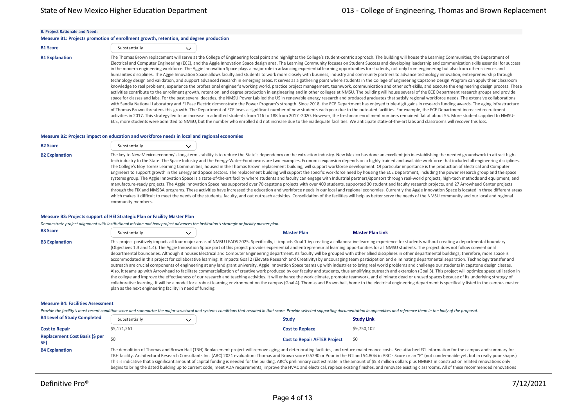#### **B. Project Rationale and Need:**

#### **Measure B1: Projects promotion of enrollment growth, retention, and degree production**

| <b>B1 Score</b> | Substantially |  |
|-----------------|---------------|--|
|                 |               |  |

B1 Explanation The Thomas Brown replacement will serve as the College of Engineering focal point and highlights the College's student-centric approach. The building will house the Learning Communities, the Department of Electrical and Computer Engineering (ECE), and the Aggie Innovation Space design area. The Learning Community focuses on Student Success and developing leadership and communication skills essential for success in the modern engineering workforce. The Aggie Innovation Space plays a major role in advancing experiential learning opportunities for students, not only from engineering but also from other sciences and humanities disciplines. The Aggie Innovation Space allows faculty and students to work more closely with business, industry and community partners to advance technology innovation, entrepreneurship through technology design and validation, and support advanced research in emerging areas. It serves as a gathering point where students in the College of Engineering Capstone Design Program can apply their classroom knowledge to real problems, experience the professional engineer's working world, practice project management, teamwork, communication and other soft-skills, and execute the engineering design process. These activities contribute to the enrollment growth, retention, and degree production in engineering and in other colleges at NMSU. The building will house several of the ECE Department research groups and provide space for classes and labs. For the past several decades, the NMSU Power Lab led the US in renewable energy research and produced graduates that satisfy regional workforce needs. The extensive collaborations with Sandia National Laboratory and El Pase Electric demonstrate the Power Program's strength. Since 2018, the ECE Department has enjoyed triple-digit gains in research funding awards. The aging infrastructure of Thomas Brown threatens this growth. The Department of ECE loses a significant number of new students each year due to the outdated facilities. For example, the ECE Department increased recruitment activities in 2017. This strategy led to an increase in admitted students from 116 to 188 from 2017 -2020. However, the freshman enrollment numbers remained flat at about 55. More students applied to NMSU-ECE, more students were admitted to NMSU, but the number who enrolled did not increase due to the inadequate facilities. We anticipate state-of-the-art labs and classrooms will recover this loss.

#### **Measure B2: Projects impact on education and workforce needs in local and regional economies**

| <b>B2 Score</b> | Substantially |  |
|-----------------|---------------|--|
|                 |               |  |

B2 Explanation The key to New Mexico economy's long-term stability is to reduce the State's dependency on the extraction industry. New Mexico has done an excellent job in establishing the needed groundwork to attract hightech industry to the State. The Space Industry and the Energy‐Water‐Food nexus are two examples. Economic expansion depends on a highly trained and available workforce that included all engineering disciplines. The College's Eloy Torrez Learning Communities, housed in the Thomas Brown replacement building, will support workforce development. Of particular importance is the production of Electrical and Computer Engineers to support growth in the Energy and Space sectors. The replacement building will support the specific workforce need by housing the ECE Department, including the power research group and the space systems group. The Aggie Innovation Space is a state‐of‐the‐art facility where students and faculty can engage with Industrial partners/sponsors through real‐world projects, high‐tech methods and equipment, and manufacture-ready projects. The Aggie Innovation Space has supported over 70 capstone projects with over 400 students, supported 30 student and faculty research projects, and 27 Arrowhead Center projects through the FIX and NMSBA programs. These activities have increased the education and workforce needs in our local and regional economies. Currently the Aggie Innovation Space is located in three different areas which makes it difficult to meet the needs of the students, faculty, and out outreach activities. Consolidation of the facilities will help us better serve the needs of the NMSU community and our local and regional community members.

#### **Measure B3: Projects support of HEI Strategic Plan or Facility Master Plan**

*Demonstrate project alignment with institutional mission and how project advances the institution's strategic or facility master plan.*

| <b>B3 Score</b>       | Substantially | <b>Master Plan</b>                                                                                                                                                  | <b>Master Plan Link</b> |
|-----------------------|---------------|---------------------------------------------------------------------------------------------------------------------------------------------------------------------|-------------------------|
| <b>B3 Explanation</b> |               | This project positively impacts all four major areas of NMSU LEADS 2025. Specifically, it impacts Goal 1 by creating a collaborative learning experience for studer |                         |
|                       |               | (Objectives 1.3 and 1.4) The Aggie Innovation Space part of this project provides experiential and entrepreneurial learning opportunities for all NMSU students     |                         |

its without creating a departmental boundary . The project does not follow conventional departmental boundaries. Although it houses Electrical and Computer Engineering department, its faculty will be grouped with other allied disciplines in other departmental buildings; therefore, more space is accommodated in this project for collaborative learning. It impacts Goal 2 (Elevate Research and Creativity) by encouraging team participation and eliminating departmental separation. Technology transfer and outreach are crucial components of engineering at any land grant university. Aggie Innovation Space teams up with industries to bring real world problems and challenge our students in capstone design classes. Also, it teams up with Arrowhead to facilitate commercialization of creative work produced by our faculty and students, thus amplifying outreach and extension (Goal 3). This project will optimize space utilization in the college and improve the effectiveness of our research and teaching activities. It will enhance the work climate, promote teamwork, and eliminate dead or unused spaces because of its underlying strategy of collaborative learning. It will be a model for a robust learning environment on the campus (Goal 4). Thomas and Brown hall, home to the electrical engineering department is specifically listed in the campus master plan as the next engineering facility in need of funding.

#### **Measure B4: Facilities Assessment**

Provide the facility's most recent condition score and summarize the major structural and systems conditions that resulted in that score. Provide selected supporting documentation in appendices and reference them in the bo

| <b>B4 Level of Study Completed</b>    | Substantially | <b>Study</b>                        | <b>Study Link</b>                                                                                                                                                                                                                                                                                                                                                                                                                                                                                                                                                                                                                                                                                                                                                                                                                                                               |
|---------------------------------------|---------------|-------------------------------------|---------------------------------------------------------------------------------------------------------------------------------------------------------------------------------------------------------------------------------------------------------------------------------------------------------------------------------------------------------------------------------------------------------------------------------------------------------------------------------------------------------------------------------------------------------------------------------------------------------------------------------------------------------------------------------------------------------------------------------------------------------------------------------------------------------------------------------------------------------------------------------|
| <b>Cost to Repair</b>                 | \$5,171,261   | <b>Cost to Replace</b>              | \$9,750,102                                                                                                                                                                                                                                                                                                                                                                                                                                                                                                                                                                                                                                                                                                                                                                                                                                                                     |
| Replacement Cost Basis (\$ per<br>SF) | ςu            | <b>Cost to Repair AFTER Project</b> | S0                                                                                                                                                                                                                                                                                                                                                                                                                                                                                                                                                                                                                                                                                                                                                                                                                                                                              |
| <b>B4 Explanation</b>                 |               |                                     | The demolition of Thomas and Brown Hall (TBH) Replacement project will remove aging and deteriorating facilities, and reduce maintenance costs. See attached FCI information for the campus and summary for<br>TBH facility. Architectural Research Consultants Inc. (ARC) 2021 evaluation: Thomas and Brown score 0.5290 or Poor in the FCI and 54.80% in ARC's Score or an "F" (not condemnable yet, but in really poor shape.)<br>This is indicative that a significant amount of capital funding is needed for the building. ARC's preliminary cost estimate in the amount of \$5.3 million dollars plus NMGRT in construction related renovations only<br>begins to bring the dated building up to current code, meet ADA requirements, improve the HVAC and electrical, replace existing finishes, and renovate existing classrooms. All of these recommended renovations |

only begin to bring the existing building up to current standards/codes and do not begin to touch the goals and need of the COE. The FCI is an indicator of the overall condition of a building; calculated by dividing the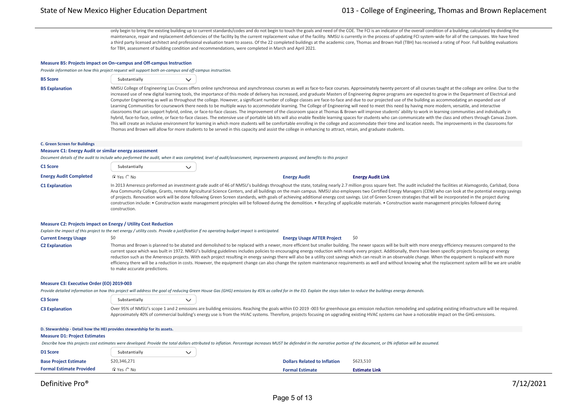only begin to bring the existing building up to current standards/codes and do not begin to touch the goals and need of the COE. The FCI is an indicator of the overall condition of a building; calculated by dividing the maintenance, repair and replacement deficiencies of the facility by the current replacement value of the facility. NMSU is currently in the process of updating FCI system-wide for all of the campuses. We have hired a third party licensed architect and professional evaluation team to assess. Of the 22 completed buildings at the academic core, Thomas and Brown Hall (TBH) has received a rating of Poor. Full building evaluations for TBH, assessment of building condition and recommendations, were completed in March and April 2021.

#### **Measure B5: Projects impact on On–campus and Off‐campus Instruction**

*Provide information on how this project request will support both on‐campus and off‐campus instruction.*

| <b>B5 Score</b> | Substantially |  |
|-----------------|---------------|--|
|                 |               |  |

B5 Explanation MMSU College of Engineering Las Cruces offers online synchronous and asynchronous courses as well as face-to-face courses. Approximately twenty percent of all courses taught at the college are online. Due to increased use of new digital learning tools, the importance of this mode of delivery has increased, and graduate Masters of Engineering degree programs are expected to grow in the Department of Electrical and Computer Engineering as well as throughout the college. However, a significant number of college classes are face-to-face and due to our projected use of the building as accommodating an expanded use of Learning Communities for coursework there needs to be multiple ways to accommodate learning. The College of Engineering will need to meet this need by having more modern, versatile, and interactive classrooms that can support hybrid, online, or face-to-face classes. The improvement of the classroom space at Thomas & Brown will improve students' ability to work in learning communities and individually in hybrid, face‐to‐face, online, or face‐to‐face classes. The extensive use of portable lab kits will also enable flexible learning spaces for students who can communicate with the class and others through Canvas Zoom. This will create an inclusive environment for learning in which more students will be comfortable enrolling in the college and accommodate their time and location needs. The improvements in the classrooms for Thomas and Brown will allow for more students to be served in this capacity and assist the college in enhancing to attract, retain, and graduate students.

#### **C. Green Screen for Buildings**

#### **Measure C1: Energy Audit or similar energy assessment**

*Document details of the audit to include who performed the audit, when it was completed, level of audit/assessment, improvements proposed, and benefits to this project*

| C1 Score                      | Substantially  |                     |                                                                                                                                                                                                                                                                                                                                                                                                                                                                                                                                                                                                                                                                                                                                                                                                                                                                          |
|-------------------------------|----------------|---------------------|--------------------------------------------------------------------------------------------------------------------------------------------------------------------------------------------------------------------------------------------------------------------------------------------------------------------------------------------------------------------------------------------------------------------------------------------------------------------------------------------------------------------------------------------------------------------------------------------------------------------------------------------------------------------------------------------------------------------------------------------------------------------------------------------------------------------------------------------------------------------------|
| <b>Energy Audit Completed</b> | $C$ Yes $C$ No | <b>Energy Audit</b> | <b>Energy Audit Link</b>                                                                                                                                                                                                                                                                                                                                                                                                                                                                                                                                                                                                                                                                                                                                                                                                                                                 |
| <b>C1 Explanation</b>         | construction.  |                     | In 2013 Ameresco preformed an investment grade audit of 46 of NMSU's buildings throughout the state, totaling nearly 2.7 million gross square feet. The audit included the facilities at Alamogordo, Carlsbad, Dona<br>Ana Community College, Grants, remote Agricultural Science Centers, and all buildings on the main campus. NMSU also employees two Certified Energy Managers (CEM) who can look at the potential energy savings<br>of projects. Renovation work will be done following Green Screen standards, with goals of achieving additional energy cost savings. List of Green Screen strategies that will be incorporated in the project during<br>construction include: • Construction waste management principles will be followed during the demolition. • Recycling of applicable materials. • Construction waste management principles followed during |

#### **Measure C2: Projects impact on Energy / Utility Cost Reduction**

*Explain the impact of this project to the net energy / utility costs. Provide a justification if no operating budget impact is anticipated.*

**Current Energy Usage**  $\angle$  **\$0**  $\angle$  \$0  $\angle$  **Energy Usage AFTER Project**  $\angle$  \$0  $\angle$  **Energy Usage AFTER Project**  $\angle$  \$0 C2 Explanation Thomas and Brown is planned to be abated and demolished to be replaced with a newer, more efficient but smaller building. The newer spaces will be built with more energy efficiency measures compared to the current space which was built in 1972. NMSU's building guidelines includes policies to encouraging energy reduction with nearly every project. Additionally, there have been specific projects focusing on energy reduction such as the Ameresco projects. With each project resulting in energy savings there will also be a utility cost savings which can result in an observable change. When the equipment is replaced with more efficiency there will be a reduction in costs. However, the equipment change can also change the system maintenance requirements as well and without knowing what the replacement system will be we are unable to make accurate predictions.

#### **Measure C3: Executive Order (EO) 2019‐003**

*Provide detailed information on how this project will address the goal of reducing Green House Gas (GHG) emissions by 45% as called for in the EO. Explain the steps taken to reduce the buildings energy demands.*

| <b>C3 Score</b>       | Substantially |                                                                                                                                                                                                                                                                                                                                                                                                                        |
|-----------------------|---------------|------------------------------------------------------------------------------------------------------------------------------------------------------------------------------------------------------------------------------------------------------------------------------------------------------------------------------------------------------------------------------------------------------------------------|
| <b>C3 Explanation</b> |               | Over 95% of NMSU's scope 1 and 2 emissions are building emissions. Reaching the goals within EO 2019-003 for greenhouse gas emission reduction remodeling and updating existing infrastructure will be required.<br>Approximately 40% of commercial building's energy use is from the HVAC systems. Therefore, projects focusing on upgrading existing HVAC systems can have a noticeable impact on the GHG emissions. |

| D. Stewardship - Detail how the HEI provides stewardship for its assets.                                                                                                                                                      |                |  |                                     |                      |  |  |
|-------------------------------------------------------------------------------------------------------------------------------------------------------------------------------------------------------------------------------|----------------|--|-------------------------------------|----------------------|--|--|
| <b>Measure D1: Project Estimates</b>                                                                                                                                                                                          |                |  |                                     |                      |  |  |
| Describe how this projects cost estimates were developed. Provide the total dollars attributed to inflation. Percentage increases MUST be defended in the narrative portion of the document, or 0% inflation will be assumed. |                |  |                                     |                      |  |  |
| D1 Score                                                                                                                                                                                                                      | Substantially  |  |                                     |                      |  |  |
| <b>Base Project Estimate</b>                                                                                                                                                                                                  | \$20,346,271   |  | <b>Dollars Related to Inflation</b> | \$623,510            |  |  |
| <b>Formal Estimate Provided</b>                                                                                                                                                                                               | $C$ Yes $C$ No |  | <b>Formal Estimate</b>              | <b>Estimate Link</b> |  |  |

#### $\sim$  0.000  $\sim$  0.000  $\sim$  0.000  $\sim$  0.000  $\sim$  0.000  $\sim$  0.000  $\sim$  0.000  $\sim$  0.000  $\sim$  0.000  $\sim$  0.000  $\sim$  0.000  $\sim$  0.000  $\sim$  0.000  $\sim$  0.000  $\sim$  0.000  $\sim$  0.000  $\sim$  0.000  $\sim$  0.000  $\sim$  0.000  $\sim$  0.000 Definitive Pro® 27/12/2021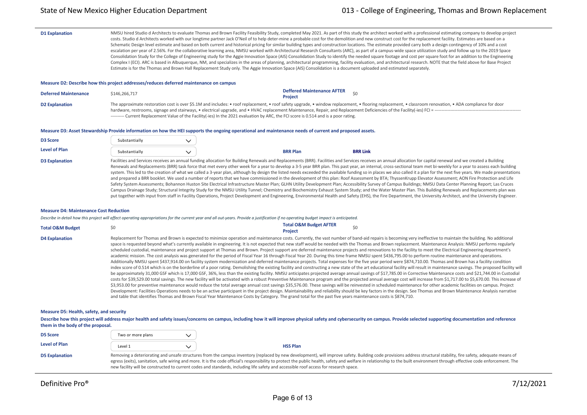D1 Explanation MMSU hired Studio d Architects to evaluate Thomas and Brown Facility Feasibility Study, completed May 2021. As part of this study the architect worked with a professional estimating company to develop projec costs. Studio d Architects worked with our longtime partner Jack O'Neil of to help deter-mine a probable cost for the demolition and new construct cost for the replacement facility. Estimates are based on a Schematic Design level estimate and based on both current and historical pricing for similar building types and construction locations. The estimate provided carry both a design contingency of 10% and a cost escalation per year of 2.56%. For the collaborative learning area, NMSU worked with Architectural Research Consultants (ARC), as part of a campus-wide space utilization study and follow up to the 2019 Space Consolidation Study for the College of Engineering study for the Aggie Innovation Space (AIS) Consolidation Study to identify the needed square footage and cost per square foot for an addition to the Engineering Complex I (ECI). ARC is based in Albuquerque, NM, and specializes in the areas of planning, architectural programming, facility evaluation, and architectural research. NOTE that the field above for Base Project Estimate is for the Thomas and Brown Hall Replacement Study only. The Aggie Innovation Space (AIS) Consolidation is a document uploaded and estimated separately.

### **Measure D2: Describe how this project addresses/reduces deferred maintenance on campus**

| <b>Deferred Maintenance</b> | \$146.266.717                                                                                                                          | <b>Deffered Maintenance AFTER</b><br><b>Project</b>                                                                                                                                                      |
|-----------------------------|----------------------------------------------------------------------------------------------------------------------------------------|----------------------------------------------------------------------------------------------------------------------------------------------------------------------------------------------------------|
| <b>D2 Explanation</b>       |                                                                                                                                        | The approximate restoration cost is over \$5.1M and includes: • roof replacement, • roof safety upgrade, • window replacement, • flooring replacement, • classroom renovation, • ADA compliance for door |
|                             |                                                                                                                                        | hardware, restrooms, signage and stairways, • electrical upgrade, and • HVAC replacement Maintenance, Repair, and Replacement Deficiencies of the Facility(-ies) FCI = ---------------                   |
|                             | ---------- Current Replacement Value of the Facility(-ies) In the 2021 evaluation by ARC, the FCI score is 0.514 and is a poor rating. |                                                                                                                                                                                                          |

### **Measure D3: Asset Stewardship Provide information on how the HEI supports the ongoing operational and maintenance needs of current and proposed assets.**

| <b>D3 Score</b>       | Substantially |                 |                                                                                                                                                                                                                                                                                                                                                                                                                                                                                                                                                                                                                                                                                                                                                                                                                                                                                                                                                                                                                                                                                                                                                                                                                                                                                                                                                                                                                                                                                                                                      |
|-----------------------|---------------|-----------------|--------------------------------------------------------------------------------------------------------------------------------------------------------------------------------------------------------------------------------------------------------------------------------------------------------------------------------------------------------------------------------------------------------------------------------------------------------------------------------------------------------------------------------------------------------------------------------------------------------------------------------------------------------------------------------------------------------------------------------------------------------------------------------------------------------------------------------------------------------------------------------------------------------------------------------------------------------------------------------------------------------------------------------------------------------------------------------------------------------------------------------------------------------------------------------------------------------------------------------------------------------------------------------------------------------------------------------------------------------------------------------------------------------------------------------------------------------------------------------------------------------------------------------------|
| <b>Level of Plan</b>  | Substantially | <b>BRR Plan</b> | <b>BRR Link</b>                                                                                                                                                                                                                                                                                                                                                                                                                                                                                                                                                                                                                                                                                                                                                                                                                                                                                                                                                                                                                                                                                                                                                                                                                                                                                                                                                                                                                                                                                                                      |
| <b>D3 Explanation</b> |               |                 | Facilities and Services receives an annual funding allocation for Building Renewals and Replacements (BRR). Facilities and Services receives an annual allocation for capital renewal and we created a Building<br>Renewals and Replacements (BRR) task force that met every other week for a year to develop a 3-5 year BRR plan. This past year, an internal, cross-sectional team met bi-weekly for a year to assess each building<br>system. This led to the creation of what we called a 3-year plan, although by design the listed needs exceeded the available funding so in places we also called it a plan for the next five years. We made presentations<br>and prepared a BRR booklet. We used a number of reports that we have commissioned in the development of this plan: Roof Assessment by BTA; ThyssenKrupp Elevator Assessment; AON Fire Protection and Life<br>Safety System Assessments; Bohannon Huston Site Electrical Infrastructure Master Plan; GLHN Utility Development Plan; Accessibility Survey of Campus Buildings; NMSU Data Center Planning Report; Las Cruces<br>Campus Drainage Study; Structural Integrity Study for the NMSU Utility Tunnel; Chemistry and Biochemistry Exhaust System Study; and the Water Master Plan. This Building Renewals and Replacements plan was<br>put together with input from staff in Facility Operations, Project Development and Engineering, Environmental Health and Safety (EHS), the Fire Department, the University Architect, and the University Engineer. |

#### **Measure D4: Maintenance Cost Reduction**

*Describe in detail how this project will affect operating appropriations for the current year and all out‐years. Provide a justification if no operating budget impact is anticipated.*

| <b>Total O&amp;M Budget</b> |                                                                                                                                | <b>Total O&amp;M Budget AFTER</b><br><b>Project</b> |  |
|-----------------------------|--------------------------------------------------------------------------------------------------------------------------------|-----------------------------------------------------|--|
| <b>D4 Explanation</b>       | Replacement for Thomas and Brown is expected to minimize operation and maintenance costs. Currently, the vast number of band-a |                                                     |  |

aid repairs is becoming very ineffective to maintain the building. No additional space is requested beyond what's currently available in engineering. It is not expected that new staff would be needed with the Thomas and Brown replacement. Maintenance Analysis: NMSU performs regularly scheduled custodial, maintenance and project support at Thomas and Brown. Project support are deferred maintenance projects and renovations to the facility to meet the Electrical Engineering department's academic mission. The cost analysis was generated for the period of Fiscal Year 16 through Fiscal Year 20. During this time frame NMSU spent \$436,795.00 to perform routine maintenance and operations. Additionally NMSU spent \$437,914.00 on facility system modernization and deferred maintenance projects. Total expenses for the five year period were \$874,710.00. Thomas and Brown has a facility condition index score of 0.514 which is on the borderline of a poor rating. Demolishing the existing facility and constructing a new state of the art educational facility will result in maintenance savings. The proposed facility wil be approximately 31,000 GSF which is 17,000 GSF, 36%, less than the existing facility. NMSU anticipates projected average annual savings of \$17,785.00 in Corrective Maintenance costs and \$21,744.00 in Custodial costs for \$39,529.00 total savings. The new facility will be activated with a robust Preventive Maintenance program and the projected annual average cost will increase from \$1,717.00 to \$5,670.00. This increase of \$3,953.00 for preventive maintenance would reduce the total average annual cost savings \$35,576.00. These savings will be reinvested in scheduled maintenance for other academic facilities on campus. Project Development: Facilities Operations needs to be an active participant in the project design. Maintainability and reliability should be key factors in the design. See Thomas and Brown Maintenance Analysis narrative and table that identifies Thomas and Brown Fiscal Year Maintenance Costs by Category. The grand total for the past five years maintenance costs is \$874,710.

### **Measure D5: Health, safety, and security**

Describe how this project will address major health and safety issues/concerns on campus, including how it will improve physical safety and cybersecurity on campus. Provide selected supporting documentation and reference **them in the body of the proposal.**

| <b>D5 Score</b>       | Two or more plans |                                                                                                                                                                                                                                                                                                                                                                                                                                                                                                                                                                                             |
|-----------------------|-------------------|---------------------------------------------------------------------------------------------------------------------------------------------------------------------------------------------------------------------------------------------------------------------------------------------------------------------------------------------------------------------------------------------------------------------------------------------------------------------------------------------------------------------------------------------------------------------------------------------|
| Level of Plan         | Level 1           | <b>HSS Plan</b>                                                                                                                                                                                                                                                                                                                                                                                                                                                                                                                                                                             |
| <b>D5 Explanation</b> |                   | Removing a deteriorating and unsafe structures from the campus inventory (replaced by new development), will improve safety. Building code provisions address structural stability, fire safety, adequate means of<br>egress (exits), sanitation, safe wiring and more. It is the code official's responsibility to protect the public health, safety and welfare in relationship to the built environment through effective code enforcement. The<br>new facility will be constructed to current codes and standards, including life safety and accessible roof access for research space. |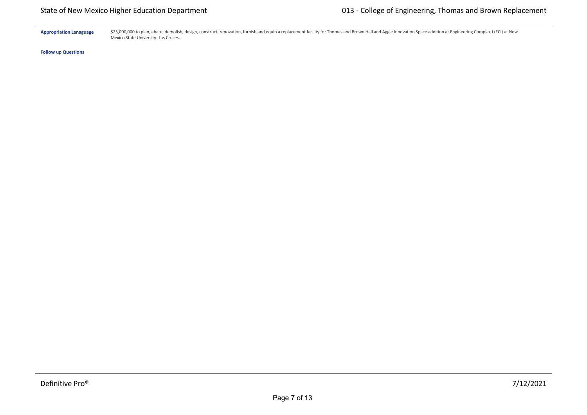Appropriation Lanaguage \$25,000,000 to plan, abate, demolish, design, construct, renovation, furnish and equip a replacement facility for Thomas and Brown Hall and Aggie Innovation Space addition at Engineering Complex I ( Mexico State University‐ Las Cruces.

**Follow up Questions**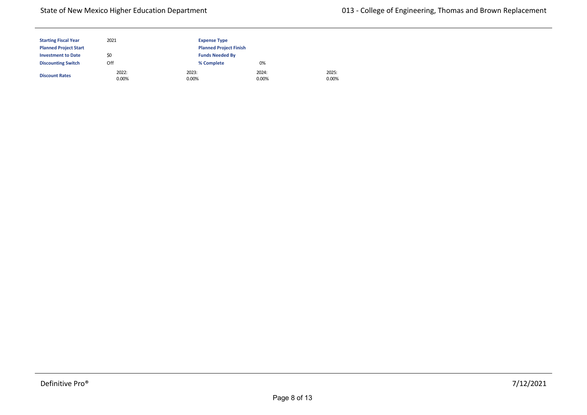## State of New Mexico Higher Education Department

| <b>Starting Fiscal Year</b>  | 2021           | <b>Expense Type</b>           |                |
|------------------------------|----------------|-------------------------------|----------------|
| <b>Planned Project Start</b> |                | <b>Planned Project Finish</b> |                |
| <b>Investment to Date</b>    | \$0            | <b>Funds Needed By</b>        |                |
| <b>Discounting Switch</b>    | Off            | % Complete                    | 0%             |
| <b>Discount Rates</b>        | 2022:<br>0.00% | 2023:<br>0.00%                | 2024:<br>0.00% |

2025: 0.00%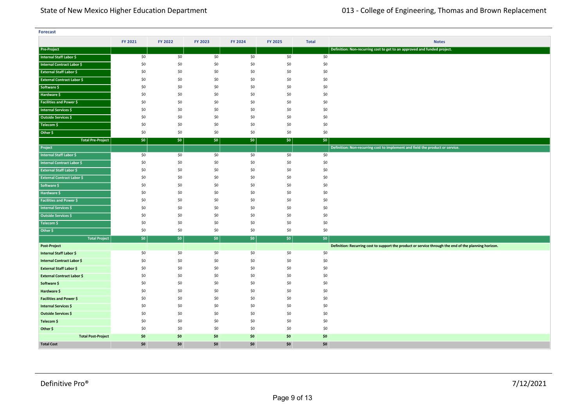| <b>Forecast</b>                   |         |         |         |         |         |              |                                                                                                       |
|-----------------------------------|---------|---------|---------|---------|---------|--------------|-------------------------------------------------------------------------------------------------------|
|                                   | FY 2021 | FY 2022 | FY 2023 | FY 2024 | FY 2025 | <b>Total</b> | <b>Notes</b>                                                                                          |
| <b>Pre-Project</b>                |         |         |         |         |         |              | Definition: Non-recurring cost to get to an approved and funded project.                              |
| Internal Staff Labor \$           | \$0     | \$0     | \$0     | \$0     | \$0     | \$0          |                                                                                                       |
| Internal Contract Labor \$        | \$0     | \$0     | \$0     | \$0     | \$0     | \$0          |                                                                                                       |
| <b>External Staff Labor \$</b>    | \$0     | \$0     | \$0     | \$0     | \$0     | \$0          |                                                                                                       |
| <b>External Contract Labor \$</b> | \$0     | \$0     | \$0     | \$0     | \$0     | \$0          |                                                                                                       |
| Software \$                       | \$0     | \$0     | \$0     | \$0     | \$0     | \$0          |                                                                                                       |
| Hardware \$                       | \$0     | \$0     | \$0     | \$0     | \$0     | \$0          |                                                                                                       |
| <b>Facilities and Power \$</b>    | \$0     | \$0     | \$0     | \$0     | \$0     | \$0          |                                                                                                       |
| Internal Services \$              | \$0     | \$0     | \$0     | \$0     | \$0     | \$0          |                                                                                                       |
| Outside Services \$               | \$0     | \$0     | \$0     | \$0     | \$0     | \$0          |                                                                                                       |
| Telecom \$                        | \$0     | \$0     | \$0     | \$0     | \$0     | \$0          |                                                                                                       |
| Other \$                          | \$0     | \$0     | \$0     | \$0     | \$0     | \$0          |                                                                                                       |
| <b>Total Pre-Project</b>          | \$0\$   | \$0     | \$0     | \$0\$   | \$0     | \$0          |                                                                                                       |
| Project                           |         |         |         |         |         |              | Definition: Non-recurring cost to implement and field the product or service.                         |
| <b>Internal Staff Labor \$</b>    | \$0     | \$0     | \$0     | \$0     | \$0     | \$0          |                                                                                                       |
| Internal Contract Labor \$        | \$0     | \$0     | \$0     | \$0     | \$0     | \$0          |                                                                                                       |
| <b>External Staff Labor \$</b>    | \$0     | \$0     | \$0     | \$0     | \$0     | \$0          |                                                                                                       |
| <b>External Contract Labor \$</b> | \$0     | \$0     | \$0     | \$0     | \$0     | \$0          |                                                                                                       |
| Software \$                       | \$0     | \$0     | \$0     | \$0     | \$0     | \$0          |                                                                                                       |
| Hardware \$                       | \$0     | \$0     | \$0     | \$0     | \$0     | \$0          |                                                                                                       |
| <b>Facilities and Power \$</b>    | \$0     | \$0     | \$0     | \$0     | \$0     | \$0          |                                                                                                       |
| <b>Internal Services \$</b>       | \$0     | \$0     | \$0     | \$0     | \$0     | \$0          |                                                                                                       |
| Outside Services \$               | \$0     | \$0     | \$0     | \$0     | \$0     | \$0          |                                                                                                       |
| Telecom \$                        | \$0     | \$0     | \$0     | \$0     | \$0     | \$0          |                                                                                                       |
| Other \$                          | \$0     | \$0     | \$0     | \$0     | \$0     | \$0          |                                                                                                       |
| <b>Total Project</b>              | \$0     | \$0     | \$0\$   | \$0     | \$0     | $ $ \$0      |                                                                                                       |
| Post-Project                      |         |         |         |         |         |              | Definition: Recurring cost to support the product or service through the end of the planning horizon. |
| Internal Staff Labor \$           | \$0     | \$0     | \$0     | \$0     | \$0     | \$0          |                                                                                                       |
| <b>Internal Contract Labor \$</b> | \$0     | \$0     | \$0     | \$0     | \$0     | \$0          |                                                                                                       |
| <b>External Staff Labor \$</b>    | \$0     | \$0     | \$0     | \$0     | \$0     | \$0          |                                                                                                       |
| <b>External Contract Labor \$</b> | \$0     | \$0     | \$0     | \$0     | \$0     | \$0          |                                                                                                       |
| Software \$                       | \$0     | \$0     | \$0     | \$0     | \$0     | \$0          |                                                                                                       |
| Hardware \$                       | \$0     | \$0     | \$0     | \$0     | \$0     | \$0          |                                                                                                       |
| <b>Facilities and Power \$</b>    | \$0     | \$0     | \$0     | \$0     | \$0     | \$0          |                                                                                                       |
| Internal Services \$              | \$0     | \$0     | \$0     | \$0     | \$0     | \$0          |                                                                                                       |
| <b>Outside Services \$</b>        | \$0     | \$0     | \$0     | \$0     | \$0     | \$0          |                                                                                                       |
| Telecom \$                        | \$0     | \$0     | \$0     | \$0     | \$0     | \$0          |                                                                                                       |
| Other \$                          | \$0     | \$0     | \$0     | \$0     | \$0     | \$0          |                                                                                                       |
| <b>Total Post-Project</b>         | \$0     | \$0     | \$0     | \$0     | \$0     | \$0          |                                                                                                       |
| <b>Total Cost</b>                 | \$0     | \$0     | \$0     | \$0     | \$0     | \$0          |                                                                                                       |

**<Source 1> \$** \$0 \$0 \$0 \$0 \$0 \$0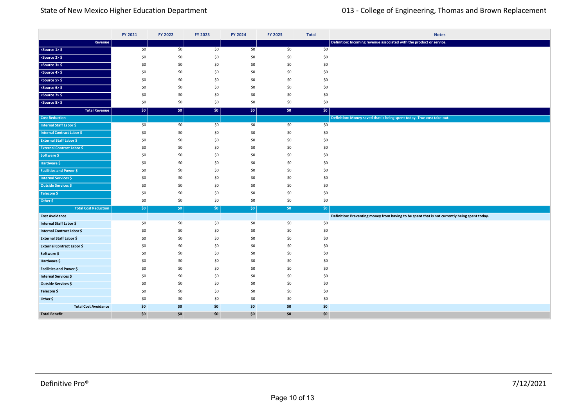|                                   | FY 2021    | FY 2022    | FY 2023          | FY 2024          | FY 2025    | <b>Total</b> | <b>Notes</b>                                                                                  |
|-----------------------------------|------------|------------|------------------|------------------|------------|--------------|-----------------------------------------------------------------------------------------------|
| Revenue                           |            |            |                  |                  |            |              | Definition: Incoming revenue associated with the product or service.                          |
| $<$ Source 1> $\frac{6}{7}$       | \$0        | \$0        | \$0              | \$0              | \$0        | \$0          |                                                                                               |
| $<$ Source 2> $\frac{1}{2}$       | \$0        | \$0        | \$0              | \$0              | \$0        | \$0          |                                                                                               |
| $<$ Source 3> $\frac{1}{2}$       | \$0        | \$0        | \$0              | \$0              | \$0        | \$0          |                                                                                               |
| $<$ Source 4> $\frac{1}{2}$       | \$0        | \$0        | \$0              | \$0              | \$0        | \$0          |                                                                                               |
| <source 5=""/> \$                 | \$0        | \$0        | \$0              | \$0              | \$0        | \$0          |                                                                                               |
| $<$ Source 6> $\frac{1}{2}$       | \$0        | \$0        | \$0              | \$0              | \$0        | \$0          |                                                                                               |
| <source 7=""/> \$                 | \$0        | \$0        | \$0              | \$0              | \$0        | \$0          |                                                                                               |
| $<$ Source 8> $\frac{1}{2}$       | \$0        | \$0        | \$0              | \$0              | \$0        | \$0          |                                                                                               |
| <b>Total Revenue</b>              | \$0        | \$0        | \$0              | \$0              | \$0        | \$0\$        |                                                                                               |
| <b>Cost Reduction</b>             |            |            |                  |                  |            |              | Definition: Money saved that is being spent today. True cost take-out.                        |
| <b>Internal Staff Labor \$</b>    | \$0        | \$0        | \$0              | \$0              | \$0        | \$0          |                                                                                               |
| <b>Internal Contract Labor \$</b> | \$0        | \$0        | \$0              | \$0              | \$0        | \$0          |                                                                                               |
| <b>External Staff Labor \$</b>    | \$0        | \$0        | \$0              | \$0              | \$0        | \$0          |                                                                                               |
| <b>External Contract Labor \$</b> | \$0        | \$0        | \$0              | \$0              | \$0        | \$0          |                                                                                               |
| Software \$                       | \$0        | \$0        | \$0              | \$0              | \$0        | \$0          |                                                                                               |
| Hardware \$                       | \$0        | \$0        | \$0              | \$0              | \$0        | \$0          |                                                                                               |
| <b>Facilities and Power \$</b>    | \$0        | \$0        | \$0              | \$0              | \$0        | \$0          |                                                                                               |
| <b>Internal Services \$</b>       | \$0        | \$0        | \$0              | \$0              | \$0        | \$0          |                                                                                               |
| <b>Outside Services \$</b>        | \$0        | \$0        | \$0              | \$0              | \$0        | \$0          |                                                                                               |
| Telecom \$                        | \$0        | \$0        | \$0              | \$0              | \$0        | \$0          |                                                                                               |
| Other \$                          | \$0        | \$0        | \$0              | \$0              | \$0        | \$0          |                                                                                               |
| <b>Total Cost Reduction</b>       | \$0        | \$0        | \$0 <sub>1</sub> | \$0 <sub>1</sub> | $ $ \$0    | $ $ \$0      |                                                                                               |
| <b>Cost Avoidance</b>             |            |            |                  |                  |            |              | Definition: Preventing money from having to be spent that is not currently being spent today. |
| <b>Internal Staff Labor \$</b>    | \$0        | \$0        | \$0              | \$0              | \$0        | \$0          |                                                                                               |
| <b>Internal Contract Labor \$</b> | \$0        | \$0        | \$0              | \$0              | \$0        | \$0          |                                                                                               |
| External Staff Labor \$           | \$0        | \$0        | \$0              | \$0              | \$0        | \$0          |                                                                                               |
| <b>External Contract Labor \$</b> | \$0        | \$0        | \$0              | \$0              | \$0        | \$0          |                                                                                               |
| Software \$                       | \$0        | \$0        | \$0              | \$0              | \$0        | \$0          |                                                                                               |
| Hardware \$                       | \$0        | \$0<br>\$0 | \$0              | \$0<br>\$0       | \$0<br>\$0 | \$0<br>\$0   |                                                                                               |
| Facilities and Power \$           | \$0        |            | \$0              |                  |            |              |                                                                                               |
| <b>Internal Services \$</b>       | \$0<br>\$0 | \$0<br>\$0 | \$0<br>\$0       | \$0<br>\$0       | \$0<br>\$0 | \$0          |                                                                                               |
| Outside Services \$               | \$0        | \$0        | \$0              | \$0              | \$0        | \$0          |                                                                                               |
| Telecom \$<br>Other \$            | \$0        | \$0        | \$0              | \$0              | \$0        | \$0<br>\$0   |                                                                                               |
| <b>Total Cost Avoidance</b>       | \$0        | \$0        |                  | \$0              | \$0        |              |                                                                                               |
| <b>Total Benefit</b>              | \$0        | \$0        | \$0<br>\$0       | \$0              | \$0        | \$0<br>\$0   |                                                                                               |
|                                   |            |            |                  |                  |            |              |                                                                                               |

**Total Cost Reduction** \$0 \$0 \$0 \$0 \$0 \$0

**Cumulative Return** \$0 \$0 \$0 \$0 \$0 \$0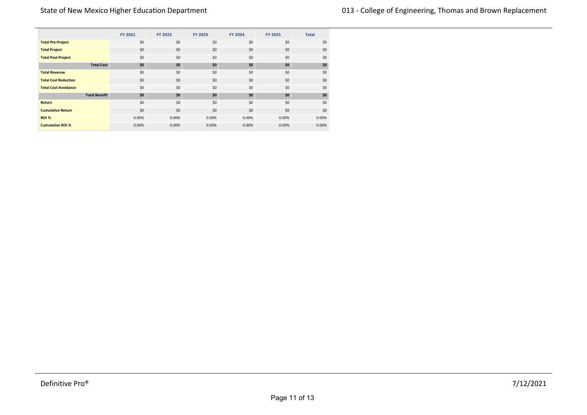|                             | FY 2021 | FY 2022 | FY 2023 | FY 2024 | <b>FY 2025</b> | <b>Total</b> |
|-----------------------------|---------|---------|---------|---------|----------------|--------------|
| <b>Total Pre-Project</b>    | \$0     | \$0     | \$0     | \$0     | \$0            | \$0          |
| <b>Total Project</b>        | \$0     | \$0     | \$0     | \$0     | \$0            | \$0          |
| <b>Total Post-Project</b>   | \$0     | \$0     | \$0     | \$0     | \$0            | \$0          |
| <b>Total Cost</b>           | \$0     | \$0     | \$0     | \$0     | \$0            | \$0          |
| <b>Total Revenue</b>        | \$0     | \$0     | \$0     | \$0     | \$0            | \$0          |
| <b>Total Cost Reduction</b> | \$0     | \$0     | \$0     | \$0     | \$0            | \$0          |
| <b>Total Cost Avoidance</b> | \$0     | \$0     | \$0     | \$0     | \$0            | \$0          |
| <b>Total Benefit</b>        | \$0     | \$0     | \$0     | \$0     | \$0            | \$0          |
| Return                      | \$0     | \$0     | \$0     | \$0     | \$0            | \$0          |
| <b>Cumulative Return</b>    | \$0     | \$0     | \$0     | \$0     | \$0            | \$0          |
| ROI %                       | 0.00%   | 0.00%   | 0.00%   | 0.00%   | 0.00%          | 0.00%        |
| <b>Cumulative ROI %</b>     | 0.00%   | 0.00%   | 0.00%   | 0.00%   | 0.00%          | 0.00%        |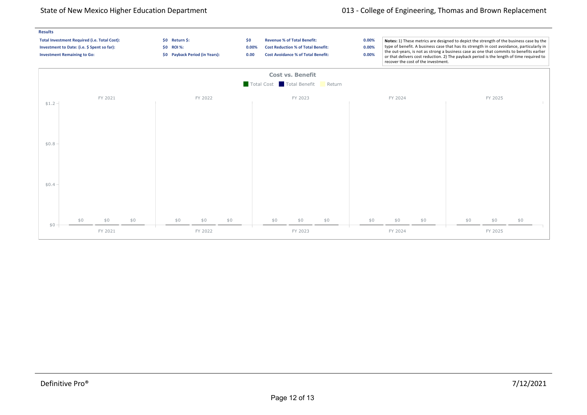## State of New Mexico Higher Education Department 013 - College of Engineering, Thomas and Brown Replacement